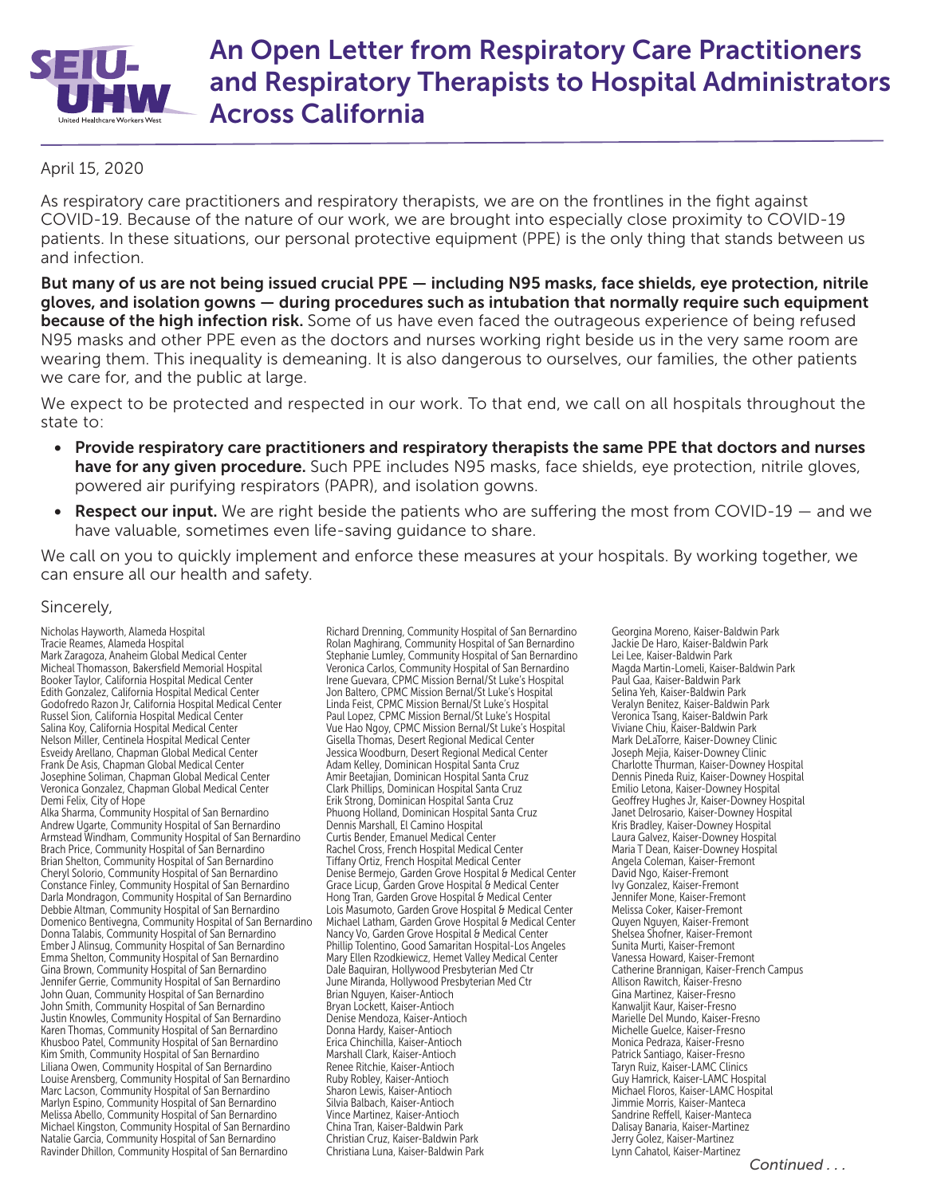

## An Open Letter from Respiratory Care Practitioners and Respiratory Therapists to Hospital Administrators Across California

## April 15, 2020

As respiratory care practitioners and respiratory therapists, we are on the frontlines in the fight against COVID-19. Because of the nature of our work, we are brought into especially close proximity to COVID-19 patients. In these situations, our personal protective equipment (PPE) is the only thing that stands between us and infection.

But many of us are not being issued crucial PPE — including N95 masks, face shields, eye protection, nitrile gloves, and isolation gowns — during procedures such as intubation that normally require such equipment because of the high infection risk. Some of us have even faced the outrageous experience of being refused N95 masks and other PPE even as the doctors and nurses working right beside us in the very same room are wearing them. This inequality is demeaning. It is also dangerous to ourselves, our families, the other patients we care for, and the public at large.

We expect to be protected and respected in our work. To that end, we call on all hospitals throughout the state to:

- Provide respiratory care practitioners and respiratory therapists the same PPE that doctors and nurses have for any given procedure. Such PPE includes N95 masks, face shields, eye protection, nitrile gloves, powered air purifying respirators (PAPR), and isolation gowns.
- Respect our input. We are right beside the patients who are suffering the most from COVID-19  $-$  and we have valuable, sometimes even life-saving guidance to share.

We call on you to quickly implement and enforce these measures at your hospitals. By working together, we can ensure all our health and safety.

## Sincerely,

Nicholas Hayworth, Alameda Hospital Tracie Reames, Alameda Hospital Mark Zaragoza, Anaheim Global Medical Center Micheal Thomasson, Bakersfield Memorial Hospital Booker Taylor, California Hospital Medical Center Edith Gonzalez, California Hospital Medical Center Godofredo Razon Jr, California Hospital Medical Center Russel Sion, California Hospital Medical Center Salina Koy, California Hospital Medical Center Nelson Miller, Centinela Hospital Medical Center Esveidy Arellano, Chapman Global Medical Center Frank De Asis, Chapman Global Medical Center Josephine Soliman, Chapman Global Medical Center Veronica Gonzalez, Chapman Global Medical Center Demi Felix, City of Hope

Alka Sharma, Community Hospital of San Bernardino Andrew Ugarte, Community Hospital of San Bernardino Armstead Windham, Community Hospital of San Bernardino Brach Price, Community Hospital of San Bernardino Brian Shelton, Community Hospital of San Bernardino Cheryl Solorio, Community Hospital of San Bernardino Constance Finley, Community Hospital of San Bernardino Darla Mondragon, Community Hospital of San Bernardino Debbie Altman, Community Hospital of San Bernardino Domenico Bentivegna, Community Hospital of San Bernardino Donna Talabis, Community Hospital of San Bernardino Ember J Alinsug, Community Hospital of San Bernardino Emma Shelton, Community Hospital of San Bernardino Gina Brown, Community Hospital of San Bernardino Jennifer Gerrie, Community Hospital of San Bernardino John Quan, Community Hospital of San Bernardino John Smith, Community Hospital of San Bernardino Justin Knowles, Community Hospital of San Bernardino Karen Thomas, Community Hospital of San Bernardino Khusboo Patel, Community Hospital of San Bernardino Kim Smith, Community Hospital of San Bernardino Liliana Owen, Community Hospital of San Bernardino Louise Arensberg, Community Hospital of San Bernardino Marc Lacson, Community Hospital of San Bernardino Marlyn Espino, Community Hospital of San Bernardino Melissa Abello, Community Hospital of San Bernardino Michael Kingston, Community Hospital of San Bernardino Natalie Garcia, Community Hospital of San Bernardino Ravinder Dhillon, Community Hospital of San Bernardino

Richard Drenning, Community Hospital of San Bernardino Rolan Maghirang, Community Hospital of San Bernardino Stephanie Lumley, Community Hospital of San Bernardino Veronica Carlos, Community Hospital of San Bernardino Irene Guevara, CPMC Mission Bernal/St Luke's Hospital Jon Baltero, CPMC Mission Bernal/St Luke's Hospital Linda Feist, CPMC Mission Bernal/St Luke's Hospital Paul Lopez, CPMC Mission Bernal/St Luke's Hospital Vue Hao Ngoy, CPMC Mission Bernal/St Luke's Hospital Gisella Thomas, Desert Regional Medical Center Jessica Woodburn, Desert Regional Medical Center Adam Kelley, Dominican Hospital Santa Cruz Amir Beetajian, Dominican Hospital Santa Cruz Clark Phillips, Dominican Hospital Santa Cruz Erik Strong, Dominican Hospital Santa Cruz Phuong Holland, Dominican Hospital Santa Cruz Dennis Marshall, El Camino Hospital Curtis Bender, Emanuel Medical Center Rachel Cross, French Hospital Medical Center Tiffany Ortiz, French Hospital Medical Center Denise Bermejo, Garden Grove Hospital & Medical Center Grace Licup, Garden Grove Hospital & Medical Center Hong Tran, Garden Grove Hospital & Medical Center Lois Masumoto, Garden Grove Hospital & Medical Center Michael Latham, Garden Grove Hospital & Medical Center Nancy Vo, Garden Grove Hospital & Medical Center Phillip Tolentino, Good Samaritan Hospital-Los Angeles Mary Ellen Rzodkiewicz, Hemet Valley Medical Center Dale Baquiran, Hollywood Presbyterian Med Ctr June Miranda, Hollywood Presbyterian Med Ctr Brian Nguyen, Kaiser-Antioch Bryan Lockett, Kaiser-Antioch Denise Mendoza, Kaiser-Antioch Donna Hardy, Kaiser-Antioch Erica Chinchilla, Kaiser-Antioch Marshall Clark, Kaiser-Antioch Renee Ritchie, Kaiser-Antioch Ruby Robley, Kaiser-Antioch Sharon Lewis, Kaiser-Antioch Silvia Balbach, Kaiser-Antioch Vince Martinez, Kaiser-Antioch China Tran, Kaiser-Baldwin Park Christian Cruz, Kaiser-Baldwin Park Christiana Luna, Kaiser-Baldwin Park

Georgina Moreno, Kaiser-Baldwin Park Jackie De Haro, Kaiser-Baldwin Park Lei Lee, Kaiser-Baldwin Park Magda Martin-Lomeli, Kaiser-Baldwin Park Paul Gaa, Kaiser-Baldwin Park Selina Yeh, Kaiser-Baldwin Park Veralyn Benitez, Kaiser-Baldwin Park Veronica Tsang, Kaiser-Baldwin Park Viviane Chiu, Kaiser-Baldwin Park Mark DeLaTorre, Kaiser-Downey Clinic Joseph Mejia, Kaiser-Downey Clinic Charlotte Thurman, Kaiser-Downey Hospital Dennis Pineda Ruiz, Kaiser-Downey Hospital Emilio Letona, Kaiser-Downey Hospital Geoffrey Hughes Jr, Kaiser-Downey Hospital Janet Delrosario, Kaiser-Downey Hospital Kris Bradley, Kaiser-Downey Hospital Laura Galvez, Kaiser-Downey Hospital Maria T Dean, Kaiser-Downey Hospital Angela Coleman, Kaiser-Fremont David Ngo, Kaiser-Fremont Ivy Gonzalez, Kaiser-Fremont Jennifer Mone, Kaiser-Fremont Melissa Coker, Kaiser-Fremont Quyen Nguyen, Kaiser-Fremont Shelsea Shofner, Kaiser-Fremont Sunita Murti, Kaiser-Fremont Vanessa Howard, Kaiser-Fremont Catherine Brannigan, Kaiser-French Campus Allison Rawitch, Kaiser-Fresno Gina Martinez, Kaiser-Fresno Kanwaljit Kaur, Kaiser-Fresno Marielle Del Mundo, Kaiser-Fresno Michelle Guelce, Kaiser-Fresno Monica Pedraza, Kaiser-Fresno Patrick Santiago, Kaiser-Fresno Taryn Ruiz, Kaiser-LAMC Clinics Guy Hamrick, Kaiser-LAMC Hospital Michael Floros, Kaiser-LAMC Hospital Jimmie Morris, Kaiser-Manteca Sandrine Reffell, Kaiser-Manteca Dalisay Banaria, Kaiser-Martinez Jerry Golez, Kaiser-Martinez Lynn Cahatol, Kaiser-Martinez